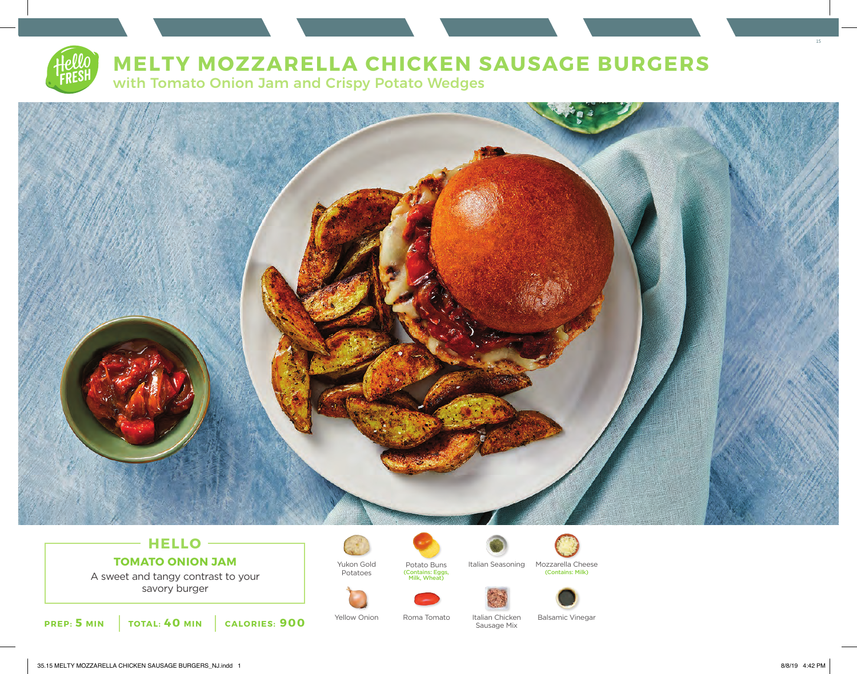

# **MELTY MOZZARELLA CHICKEN SAUSAGE BURGERS**

with Tomato Onion Jam and Crispy Potato Wedges



## **HELLO TOMATO ONION JAM**

A sweet and tangy contrast to your savory burger





Potato Buns



Sausage Mix



Italian Seasoning Mozzarella Cheese (Contains: Eggs, (Contains: Milk) Milk, Wheat)





Yellow Onion Roma Tomato Italian Chicken Balsamic Vinegar

15